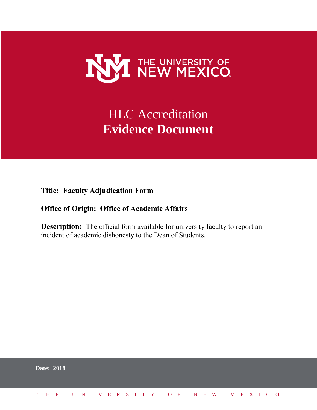

## **HLC** Accreditation **Evidence Document**

**Title: Faculty Adjudication Form**

## **Office of Origin: Office of Academic Affairs**

**Description:** The official form available for university faculty to report an incident of academic dishonesty to the Dean of Students.

|  | <b>Date: 2018</b>            |  |  |  |  |  |  |  |  |  |  |  |  |  |
|--|------------------------------|--|--|--|--|--|--|--|--|--|--|--|--|--|
|  | THE UNIVERSITY OF NEW MEXICO |  |  |  |  |  |  |  |  |  |  |  |  |  |